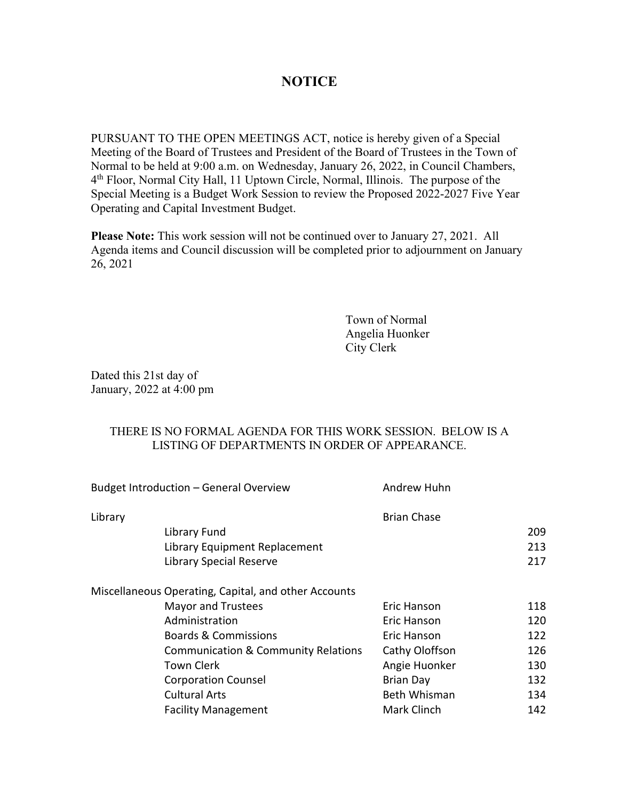## **NOTICE**

PURSUANT TO THE OPEN MEETINGS ACT, notice is hereby given of a Special Meeting of the Board of Trustees and President of the Board of Trustees in the Town of Normal to be held at 9:00 a.m. on Wednesday, January 26, 2022, in Council Chambers, 4th Floor, Normal City Hall, 11 Uptown Circle, Normal, Illinois. The purpose of the Special Meeting is a Budget Work Session to review the Proposed 2022-2027 Five Year Operating and Capital Investment Budget.

**Please Note:** This work session will not be continued over to January 27, 2021. All Agenda items and Council discussion will be completed prior to adjournment on January 26, 2021

> Town of Normal Angelia Huonker City Clerk

Dated this 21st day of January, 2022 at 4:00 pm

## THERE IS NO FORMAL AGENDA FOR THIS WORK SESSION. BELOW IS A LISTING OF DEPARTMENTS IN ORDER OF APPEARANCE.

| Budget Introduction - General Overview<br>Library |                                                      | Andrew Huhn<br><b>Brian Chase</b> |     |
|---------------------------------------------------|------------------------------------------------------|-----------------------------------|-----|
|                                                   |                                                      |                                   |     |
|                                                   | Library Equipment Replacement                        |                                   | 213 |
|                                                   | Library Special Reserve                              |                                   | 217 |
|                                                   | Miscellaneous Operating, Capital, and other Accounts |                                   |     |
|                                                   | <b>Mayor and Trustees</b>                            | Eric Hanson                       | 118 |
|                                                   | Administration                                       | Eric Hanson                       | 120 |
|                                                   | <b>Boards &amp; Commissions</b>                      | Eric Hanson                       | 122 |
|                                                   | <b>Communication &amp; Community Relations</b>       | Cathy Oloffson                    | 126 |
|                                                   | <b>Town Clerk</b>                                    | Angie Huonker                     | 130 |
|                                                   | <b>Corporation Counsel</b>                           | <b>Brian Day</b>                  | 132 |
|                                                   | <b>Cultural Arts</b>                                 | <b>Beth Whisman</b>               | 134 |
|                                                   | <b>Facility Management</b>                           | Mark Clinch                       | 142 |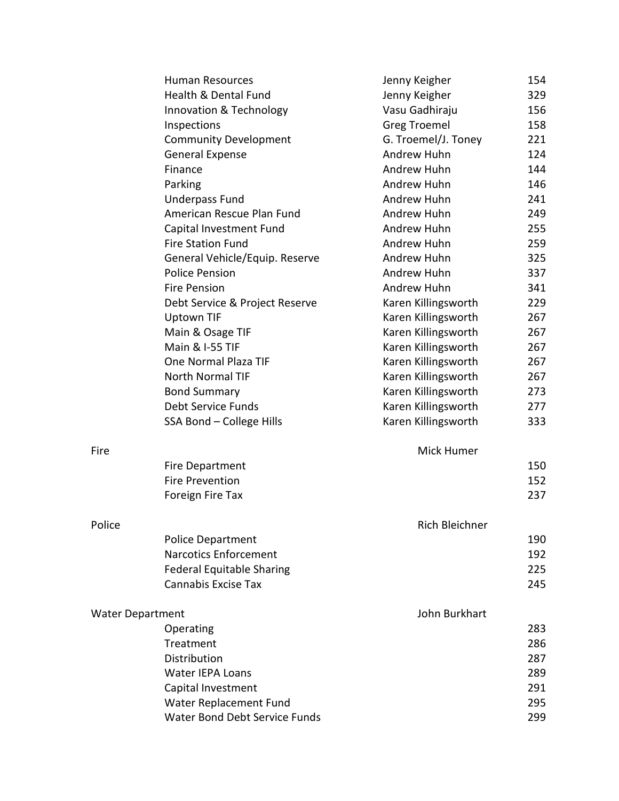|                         | <b>Human Resources</b>           | Jenny Keigher       | 154 |
|-------------------------|----------------------------------|---------------------|-----|
|                         | Health & Dental Fund             | Jenny Keigher       | 329 |
|                         | Innovation & Technology          | Vasu Gadhiraju      | 156 |
|                         | Inspections                      | <b>Greg Troemel</b> | 158 |
|                         | <b>Community Development</b>     | G. Troemel/J. Toney | 221 |
|                         | <b>General Expense</b>           | Andrew Huhn         | 124 |
|                         | Finance                          | Andrew Huhn         | 144 |
|                         | Parking                          | Andrew Huhn         | 146 |
|                         | <b>Underpass Fund</b>            | Andrew Huhn         | 241 |
|                         | American Rescue Plan Fund        | Andrew Huhn         | 249 |
|                         | Capital Investment Fund          | Andrew Huhn         | 255 |
|                         | <b>Fire Station Fund</b>         | Andrew Huhn         | 259 |
|                         | General Vehicle/Equip. Reserve   | Andrew Huhn         | 325 |
|                         | <b>Police Pension</b>            | Andrew Huhn         | 337 |
|                         | <b>Fire Pension</b>              | Andrew Huhn         | 341 |
|                         | Debt Service & Project Reserve   | Karen Killingsworth | 229 |
|                         | <b>Uptown TIF</b>                | Karen Killingsworth | 267 |
|                         | Main & Osage TIF                 | Karen Killingsworth | 267 |
|                         | Main & I-55 TIF                  | Karen Killingsworth | 267 |
|                         | One Normal Plaza TIF             | Karen Killingsworth | 267 |
|                         | North Normal TIF                 | Karen Killingsworth | 267 |
|                         | <b>Bond Summary</b>              | Karen Killingsworth | 273 |
|                         | Debt Service Funds               | Karen Killingsworth | 277 |
|                         | SSA Bond - College Hills         | Karen Killingsworth | 333 |
| Fire                    |                                  | Mick Humer          |     |
|                         | Fire Department                  |                     | 150 |
|                         | <b>Fire Prevention</b>           |                     | 152 |
|                         | Foreign Fire Tax                 |                     | 237 |
| Police                  |                                  | Rich Bleichner      |     |
|                         | <b>Police Department</b>         |                     | 190 |
|                         | <b>Narcotics Enforcement</b>     |                     | 192 |
|                         | <b>Federal Equitable Sharing</b> |                     | 225 |
|                         | <b>Cannabis Excise Tax</b>       |                     | 245 |
| <b>Water Department</b> |                                  | John Burkhart       |     |
|                         | Operating                        |                     | 283 |
|                         | Treatment                        |                     | 286 |
|                         | Distribution                     |                     | 287 |
|                         | <b>Water IEPA Loans</b>          |                     | 289 |
|                         | Capital Investment               |                     | 291 |
|                         | Water Replacement Fund           |                     | 295 |
|                         | Water Bond Debt Service Funds    |                     | 299 |